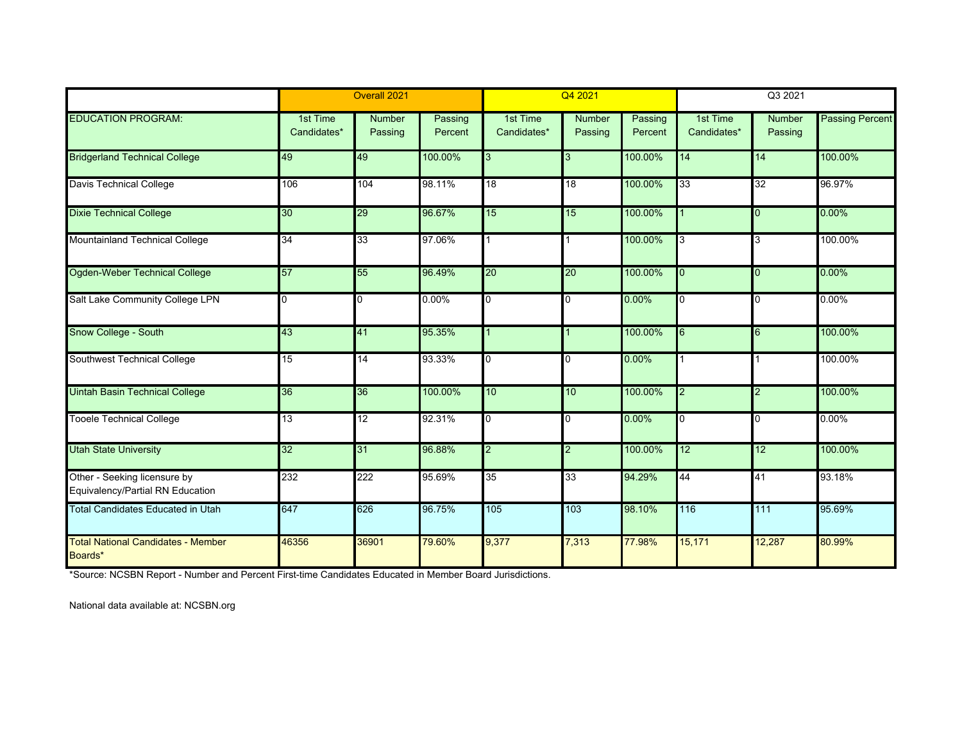|                                                                  | Overall 2021            |                   |                    | Q4 2021                 |                   |                    | Q3 2021                 |                   |                        |
|------------------------------------------------------------------|-------------------------|-------------------|--------------------|-------------------------|-------------------|--------------------|-------------------------|-------------------|------------------------|
| <b>EDUCATION PROGRAM:</b>                                        | 1st Time<br>Candidates* | Number<br>Passing | Passing<br>Percent | 1st Time<br>Candidates* | Number<br>Passing | Passing<br>Percent | 1st Time<br>Candidates* | Number<br>Passing | <b>Passing Percent</b> |
| <b>Bridgerland Technical College</b>                             | 49                      | 49                | 100.00%            | 3                       | 3                 | 100.00%            | 14                      | 14                | 100.00%                |
| <b>Davis Technical College</b>                                   | 106                     | 104               | 98.11%             | $\overline{18}$         | $\overline{18}$   | 100.00%            | 33                      | $\overline{32}$   | 96.97%                 |
| <b>Dixie Technical College</b>                                   | 30                      | 29                | 96.67%             | 15                      | 15                | 100.00%            |                         | <b>0</b>          | 0.00%                  |
| <b>Mountainland Technical College</b>                            | 34                      | 33                | 97.06%             |                         |                   | 100.00%            | 3                       | 3                 | 100.00%                |
| Ogden-Weber Technical College                                    | 57                      | 55                | 96.49%             | $\overline{20}$         | 20                | 100.00%            | $\overline{0}$          | l <sub>0</sub>    | 0.00%                  |
| Salt Lake Community College LPN                                  | $\overline{0}$          | $\overline{0}$    | 0.00%              | 0                       | $\Omega$          | $0.00\%$           | $\Omega$                | $\Omega$          | 0.00%                  |
| Snow College - South                                             | 43                      | 41                | 95.35%             |                         |                   | 100.00%            | 6                       | 6                 | 100.00%                |
| Southwest Technical College                                      | 15                      | 14                | 93.33%             | 0                       | O                 | $0.00\%$           |                         |                   | 100.00%                |
| <b>Uintah Basin Technical College</b>                            | 36                      | 36                | 100.00%            | 10                      | 10                | 100.00%            | $\overline{2}$          | $\overline{2}$    | 100.00%                |
| <b>Tooele Technical College</b>                                  | 13                      | 12                | 92.31%             | 0                       | $\overline{0}$    | 0.00%              | 0                       | l0                | 0.00%                  |
| <b>Utah State University</b>                                     | 32                      | 31                | 96.88%             | $\overline{2}$          | 2                 | 100.00%            | 12                      | 12                | 100.00%                |
| Other - Seeking licensure by<br>Equivalency/Partial RN Education | 232                     | 222               | 95.69%             | $\overline{35}$         | 33                | 94.29%             | 44                      | 41                | 93.18%                 |
| <b>Total Candidates Educated in Utah</b>                         | 647                     | 626               | 96.75%             | 105                     | 103               | 98.10%             | 116                     | 111               | 95.69%                 |
| <b>Total National Candidates - Member</b><br>Boards*             | 46356                   | 36901             | 79.60%             | 9,377                   | 7,313             | 77.98%             | 15,171                  | 12,287            | 80.99%                 |

\*Source: NCSBN Report - Number and Percent First-time Candidates Educated in Member Board Jurisdictions.

National data available at: NCSBN.org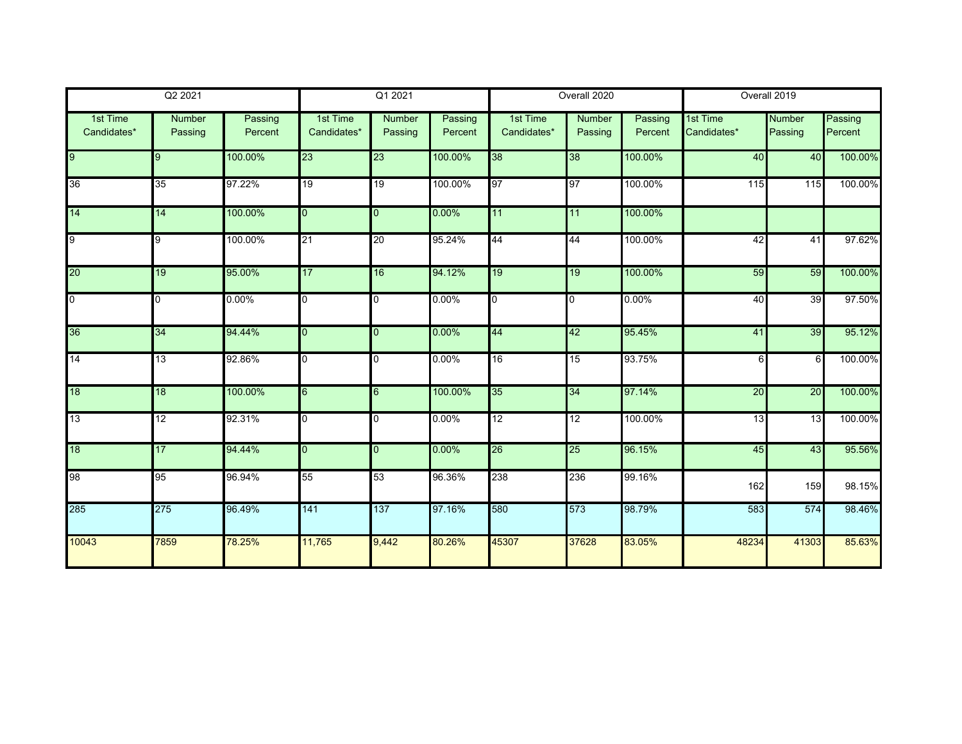| Q2 2021                 |                   | Q1 2021            |                         |                          | Overall 2020       |                         |                          | Overall 2019       |                         |                          |                    |
|-------------------------|-------------------|--------------------|-------------------------|--------------------------|--------------------|-------------------------|--------------------------|--------------------|-------------------------|--------------------------|--------------------|
| 1st Time<br>Candidates* | Number<br>Passing | Passing<br>Percent | 1st Time<br>Candidates* | <b>Number</b><br>Passing | Passing<br>Percent | 1st Time<br>Candidates* | <b>Number</b><br>Passing | Passing<br>Percent | 1st Time<br>Candidates* | <b>Number</b><br>Passing | Passing<br>Percent |
| 9                       | 9                 | 100.00%            | 23                      | 23                       | 100.00%            | 38                      | 38                       | 100.00%            | 40                      | 40                       | 100.00%            |
| 36                      | 35                | 97.22%             | 19                      | 19                       | 100.00%            | 97                      | 97                       | 100.00%            | 115                     | 115                      | 100.00%            |
| 14                      | 14                | 100.00%            | $\overline{0}$          | $\overline{0}$           | 0.00%              | 11                      | 11                       | 100.00%            |                         |                          |                    |
| 9                       | 9                 | 100.00%            | 21                      | 20                       | 95.24%             | 44                      | 44                       | 100.00%            | 42                      | 41                       | 97.62%             |
| 20                      | 19                | 95.00%             | 17                      | 16                       | 94.12%             | 19                      | 19                       | 100.00%            | 59                      | 59                       | 100.00%            |
| $\overline{0}$          | $\overline{0}$    | 0.00%              | 0                       | 0                        | 0.00%              | $\overline{0}$          | 0                        | 0.00%              | 40                      | 39                       | 97.50%             |
| 36                      | 34                | 94.44%             | $\overline{0}$          | $\overline{0}$           | 0.00%              | 44                      | 42                       | 95.45%             | 41                      | 39                       | 95.12%             |
| 14                      | 13                | 92.86%             | $\overline{0}$          | $\overline{0}$           | 0.00%              | 16                      | 15                       | 93.75%             | 6                       | 6                        | 100.00%            |
| 18                      | $\overline{18}$   | 100.00%            | 6                       | 6                        | 100.00%            | 35                      | 34                       | 97.14%             | 20                      | $\overline{20}$          | 100.00%            |
| 13                      | 12                | 92.31%             | $\overline{0}$          | 0                        | 0.00%              | 12                      | 12                       | 100.00%            | 13                      | 13                       | 100.00%            |
| 18                      | 17                | 94.44%             | $\overline{0}$          | $\overline{0}$           | 0.00%              | 26                      | 25                       | 96.15%             | 45                      | 43                       | 95.56%             |
| 98                      | 95                | 96.94%             | 55                      | 53                       | 96.36%             | 238                     | 236                      | 99.16%             | 162                     | 159                      | 98.15%             |
| 285                     | 275               | 96.49%             | 141                     | 137                      | 97.16%             | 580                     | 573                      | 98.79%             | 583                     | 574                      | 98.46%             |
| 10043                   | 7859              | 78.25%             | 11,765                  | 9,442                    | 80.26%             | 45307                   | 37628                    | 83.05%             | 48234                   | 41303                    | 85.63%             |